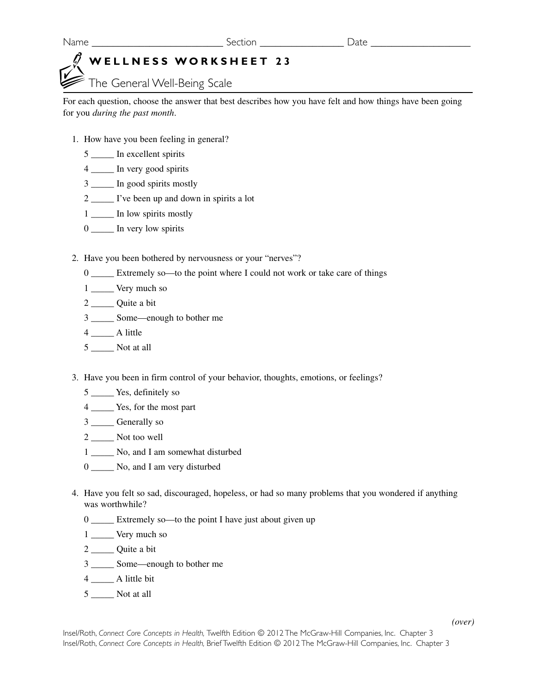# **WELLNESS WORKSHEET 23**

The General Well-Being Scale

For each question, choose the answer that best describes how you have felt and how things have been going for you *during the past month*.

- 1. How have you been feeling in general?
	- 5 \_\_\_\_\_ In excellent spirits
	- 4 \_\_\_\_\_ In very good spirits
	- 3 \_\_\_\_\_ In good spirits mostly
	- 2 \_\_\_\_\_ I've been up and down in spirits a lot
	- 1 \_\_\_\_\_ In low spirits mostly
	- 0 \_\_\_\_ In very low spirits
- 2. Have you been bothered by nervousness or your "nerves"?
	- 0 \_\_\_\_\_ Extremely so—to the point where I could not work or take care of things
	- 1 Very much so
	- 2 \_\_\_\_\_\_\_ Quite a bit
	- 3 \_\_\_\_\_ Some—enough to bother me
	- 4 \_\_\_\_\_ A little
	- 5 \_\_\_\_\_ Not at all
- 3. Have you been in firm control of your behavior, thoughts, emotions, or feelings?
	- 5 \_\_\_\_\_ Yes, definitely so
	- 4 \_\_\_\_\_ Yes, for the most part
	- 3 \_\_\_\_\_ Generally so
	- 2 \_\_\_\_\_\_ Not too well
	- 1 \_\_\_\_\_ No, and I am somewhat disturbed
	- 0 \_\_\_\_\_ No, and I am very disturbed
- 4. Have you felt so sad, discouraged, hopeless, or had so many problems that you wondered if anything was worthwhile?
	- 0 \_\_\_\_\_ Extremely so—to the point I have just about given up
	- 1 \_\_\_\_\_ Very much so
	- 2 \_\_\_\_\_\_\_ Quite a bit
	- 3 \_\_\_\_\_ Some—enough to bother me
	- 4 \_\_\_\_\_ A little bit
	- 5 \_\_\_\_\_ Not at all

Insel/Roth, *Connect Core Concepts in Health,* Twelfth Edition © 2012 The McGraw-Hill Companies, Inc. Chapter 3 Insel/Roth, *Connect Core Concepts in Health,* Brief Twelfth Edition © 2012 The McGraw-Hill Companies, Inc. Chapter 3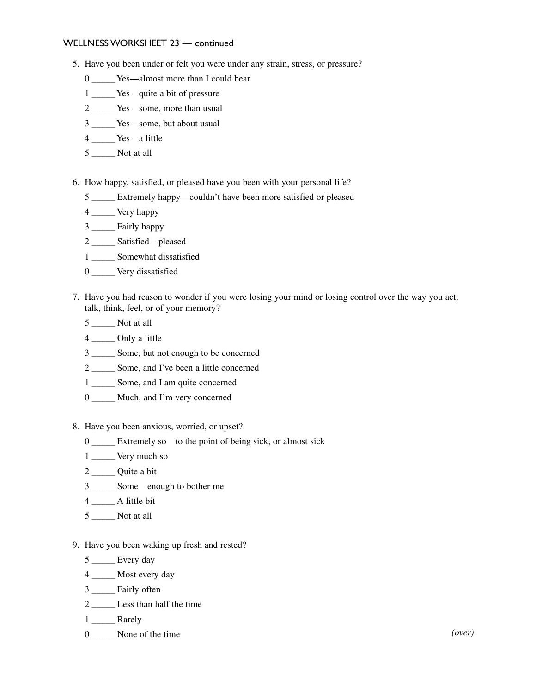### WELLNESS WORKSHEET 23 — continued

- 5. Have you been under or felt you were under any strain, stress, or pressure?
	- 0 \_\_\_\_\_ Yes—almost more than I could bear
	- 1 Yes—quite a bit of pressure
	- 2 \_\_\_\_\_ Yes—some, more than usual
	- 3 \_\_\_\_\_ Yes—some, but about usual
	- 4 Yes—a little
	- 5 \_\_\_\_\_ Not at all
- 6. How happy, satisfied, or pleased have you been with your personal life?
	- 5 \_\_\_\_\_ Extremely happy—couldn't have been more satisfied or pleased
	- 4 \_\_\_\_\_ Very happy
	- 3 \_\_\_\_\_ Fairly happy
	- 2 \_\_\_\_\_ Satisfied—pleased
	- 1 Somewhat dissatisfied
	- 0 \_\_\_\_\_ Very dissatisfied
- 7. Have you had reason to wonder if you were losing your mind or losing control over the way you act, talk, think, feel, or of your memory?
	- 5 \_\_\_\_\_ Not at all
	- 4 \_\_\_\_\_ Only a little
	- 3 \_\_\_\_\_ Some, but not enough to be concerned
	- 2 \_\_\_\_\_ Some, and I've been a little concerned
	- 1 \_\_\_\_\_ Some, and I am quite concerned
	- 0 \_\_\_\_\_\_ Much, and I'm very concerned
- 8. Have you been anxious, worried, or upset?
	- 0 \_\_\_\_\_ Extremely so—to the point of being sick, or almost sick
	- 1 \_\_\_\_\_\_ Very much so
	- 2 \_\_\_\_\_\_\_ Quite a bit
	- 3 \_\_\_\_\_ Some—enough to bother me
	- 4 \_\_\_\_\_ A little bit
	- 5 \_\_\_\_\_ Not at all
- 9. Have you been waking up fresh and rested?
	- $5 \_\_\_\_\$ Every day
	- 4 \_\_\_\_\_ Most every day
	- 3 \_\_\_\_\_ Fairly often
	- 2 \_\_\_\_\_ Less than half the time
	- 1 Rarely
	- 0 \_\_\_\_\_ None of the time *(over)*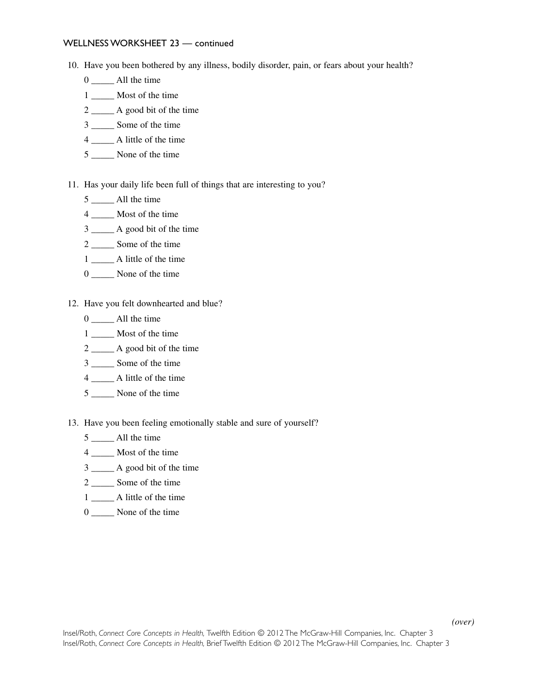#### WELLNESS WORKSHEET 23 — continued

- 10. Have you been bothered by any illness, bodily disorder, pain, or fears about your health?
	- 0 \_\_\_\_\_ All the time
	- 1 \_\_\_\_\_\_ Most of the time
	- 2 \_\_\_\_\_ A good bit of the time
	- 3 \_\_\_\_\_ Some of the time
	- 4 \_\_\_\_\_ A little of the time
	- 5 \_\_\_\_\_ None of the time
- 11. Has your daily life been full of things that are interesting to you?
	- 5 \_\_\_\_\_ All the time
	- 4 \_\_\_\_\_ Most of the time
	- 3 \_\_\_\_\_ A good bit of the time
	- 2 \_\_\_\_\_ Some of the time
	- 1 \_\_\_\_\_ A little of the time
	- 0 \_\_\_\_\_ None of the time
- 12. Have you felt downhearted and blue?
	- 0 \_\_\_\_\_\_ All the time
	- 1 Most of the time
	- 2 \_\_\_\_\_ A good bit of the time
	- 3 \_\_\_\_\_ Some of the time
	- 4 \_\_\_\_\_ A little of the time
	- 5 \_\_\_\_\_ None of the time
- 13. Have you been feeling emotionally stable and sure of yourself?
	- 5 \_\_\_\_\_ All the time
	- 4 \_\_\_\_\_ Most of the time
	- 3 \_\_\_\_\_ A good bit of the time
	- 2 \_\_\_\_\_ Some of the time
	- 1  $\Box$  A little of the time
	- 0 \_\_\_\_\_ None of the time